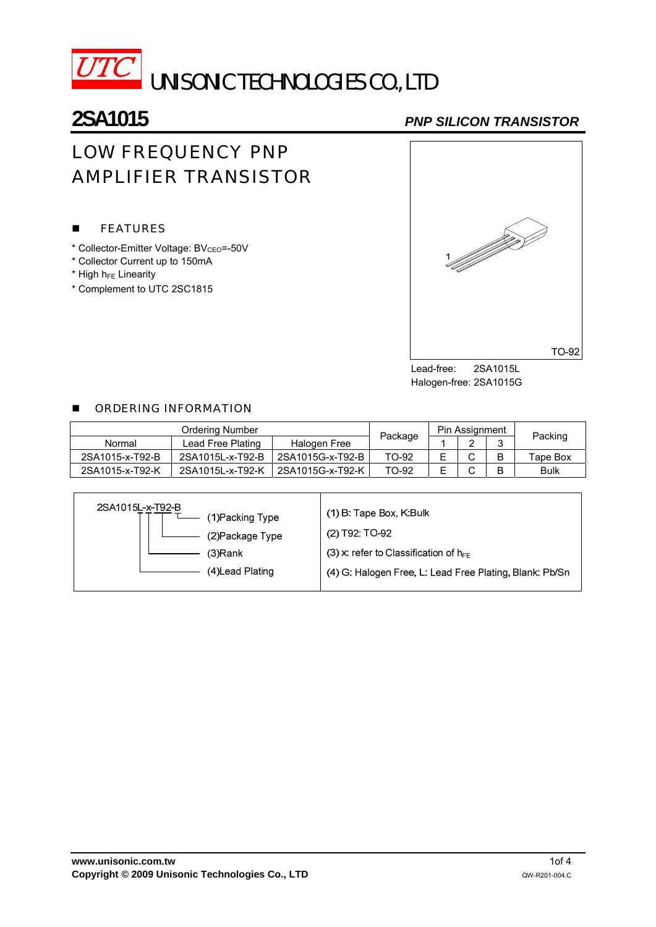

## **2SA1015** *PNP SILICON TRANSISTOR*

# LOW FREQUENCY PNP AMPLIFIER TRANSISTOR

### **FEATURES**

- \* Collector-Emitter Voltage: BV<sub>CEO</sub>=-50V
- \* Collector Current up to 150mA
- $*$  High h $_{FE}$  Linearity
- \* Complement to UTC 2SC1815



Lead-free: 2SA1015L Halogen-free: 2SA1015G

#### **DE ORDERING INFORMATION**

| <b>Ordering Number</b> |                   |                  |         | Pin Assignment |            |   |             |  |
|------------------------|-------------------|------------------|---------|----------------|------------|---|-------------|--|
| Normal                 | Lead Free Plating | Halogen Free     | Package |                | $\sqrt{2}$ | ື | Packing     |  |
| 2SA1015-x-T92-B        | 2SA1015L-x-T92-B  | 2SA1015G-x-T92-B | TO-92   |                | ⌒          | B | Tape Box    |  |
| 2SA1015-x-T92-K        | 2SA1015L-x-T92-K  | 2SA1015G-x-T92-K | TO-92   |                | ⌒          |   | <b>Bulk</b> |  |

| 2SA1015L-x-T92-B<br>(1) Packing Type<br>(2) Package Type | (1) B: Tape Box, K:Bulk<br>(2) T92: TO-92               |  |  |
|----------------------------------------------------------|---------------------------------------------------------|--|--|
| (3)Rank                                                  | (3) x: refer to Classification of $h_{FF}$              |  |  |
| (4) Lead Plating                                         | (4) G: Halogen Free, L: Lead Free Plating, Blank: Pb/Sn |  |  |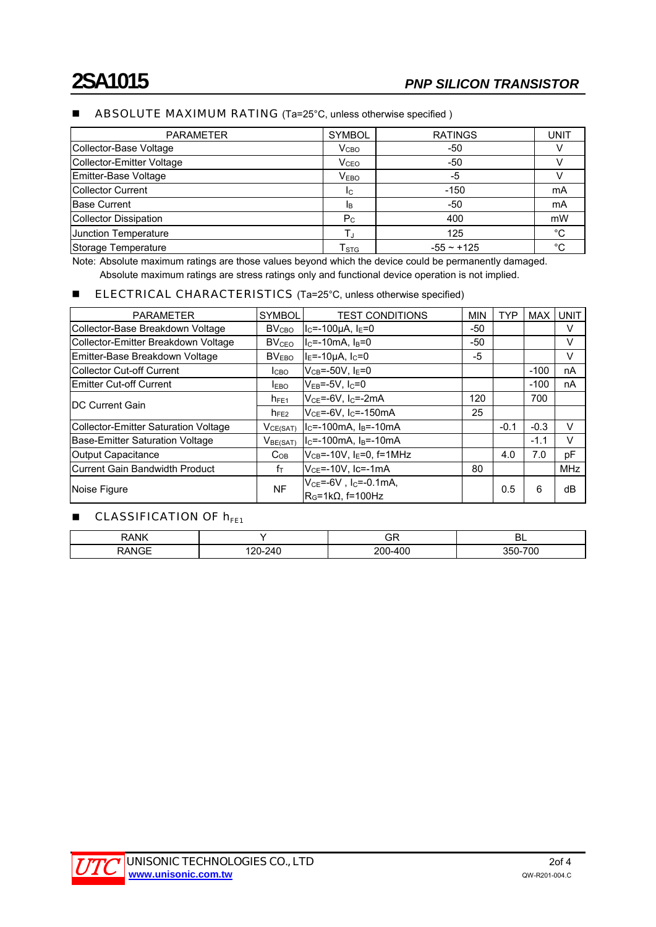#### ■ ABSOLUTE MAXIMUM RATING (Ta=25°C, unless otherwise specified)

| <b>PARAMETER</b>          | <b>SYMBOL</b>               | <b>RATINGS</b> | UNIT        |
|---------------------------|-----------------------------|----------------|-------------|
| Collector-Base Voltage    | V <sub>CBO</sub>            | -50            |             |
| Collector-Emitter Voltage | <b>V</b> <sub>CEO</sub>     | -50            |             |
| Emitter-Base Voltage      | V <sub>EBO</sub>            | -5             |             |
| <b>Collector Current</b>  | Ic.                         | $-150$         | mA          |
| <b>Base Current</b>       | <b>I</b> B                  | -50            | mA          |
| Collector Dissipation     | $P_{C}$                     | 400            | mW          |
| Junction Temperature      |                             | 125            | $^{\circ}C$ |
| Storage Temperature       | $\mathsf{T}_{\texttt{STG}}$ | $-55 - +125$   | °C          |

Note: Absolute maximum ratings are those values beyond which the device could be permanently damaged. Absolute maximum ratings are stress ratings only and functional device operation is not implied.

#### **ELECTRICAL CHARACTERISTICS** (Ta=25°C, unless otherwise specified)

| <b>PARAMETER</b>                            | <b>SYMBOL</b>           | <b>TEST CONDITIONS</b>                                                           | <b>MIN</b> | TYP    | <b>MAX</b> | <b>UNIT</b> |
|---------------------------------------------|-------------------------|----------------------------------------------------------------------------------|------------|--------|------------|-------------|
| Collector-Base Breakdown Voltage            | <b>BV<sub>CBO</sub></b> | $I_c = -100 \mu A$ , $I_E = 0$                                                   | -50        |        |            | V           |
| Collector-Emitter Breakdown Voltage         | <b>BV<sub>CEO</sub></b> | $IC=-10mA. IB=0$                                                                 | -50        |        |            | v           |
| Emitter-Base Breakdown Voltage              | BV <sub>EBO</sub>       | $IE=-10 \mu A, IC=0$                                                             | -5         |        |            | V           |
| <b>Collector Cut-off Current</b>            | ICBO.                   | $V_{CB} = -50V$ , $I_E = 0$                                                      |            |        | $-100$     | nA          |
| <b>Emitter Cut-off Current</b>              | <b>IEBO</b>             | $V_{EB} = -5V$ , $I_C = 0$                                                       |            |        | $-100$     | nA          |
| <b>DC Current Gain</b>                      | $n_{FE1}$               | $V_{CE} = -6V$ , $I_C = -2mA$                                                    | 120        |        | 700        |             |
|                                             | $h_{FE2}$               | $VCE=-6V, IC=-150mA$                                                             | 25         |        |            |             |
| <b>Collector-Emitter Saturation Voltage</b> | V <sub>CE(SAT)</sub>    | $ I_C = -100$ m A, $I_B = -10$ m A                                               |            | $-0.1$ | $-0.3$     | V           |
| <b>Base-Emitter Saturation Voltage</b>      | V <sub>BE(SAT)</sub>    | $ I_C = -100$ m A, $I_B = -10$ m A                                               |            |        | $-1.1$     | v           |
| Output Capacitance                          | $C_{OB}$                | $V_{CB}$ =-10V, I <sub>E</sub> =0, f=1MHz                                        |            | 4.0    | 7.0        | рF          |
| <b>Current Gain Bandwidth Product</b>       | fт                      | $VCE=-10V$ , Ic=-1mA                                                             | 80         |        |            | <b>MHz</b>  |
| Noise Figure                                | <b>NF</b>               | $V_{CF} = -6V$ . Ic=-0.1mA.<br>$\mathsf{IR}_{\mathsf{G}}$ =1k $\Omega$ , f=100Hz |            | 0.5    | 6          | dB          |

#### **CLASSIFICATION OF**  $h_{FE1}$

| RANK        |           | אט                                   | -<br><b>DL</b>               |
|-------------|-----------|--------------------------------------|------------------------------|
| ANCE<br>$-$ | 240<br>__ | $\overline{\phantom{a}}$<br>וחכ<br>ີ | $\neg \sim$<br>7 UU<br>-ו הר |

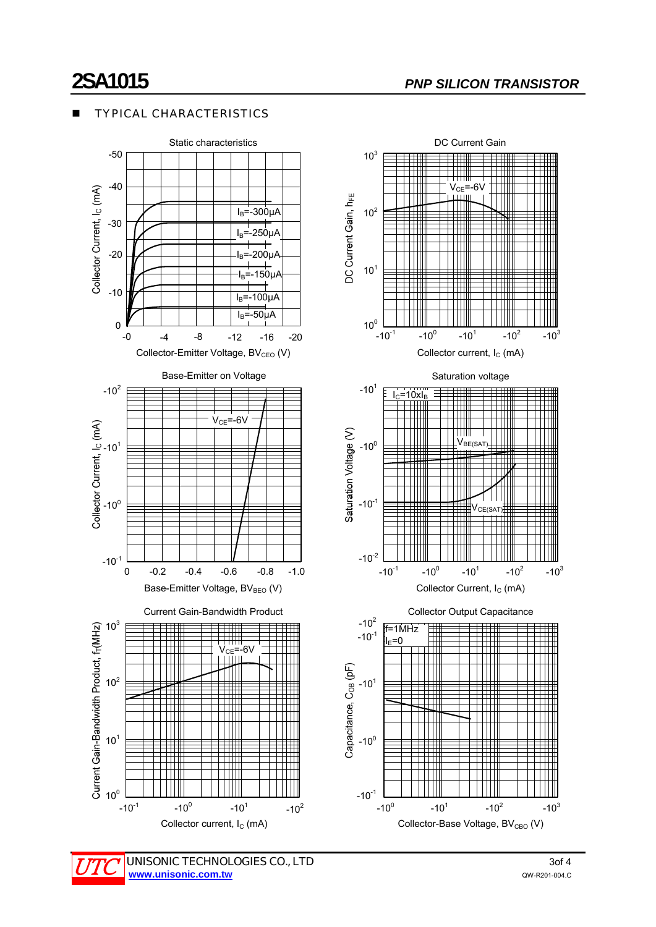### TYPICAL CHARACTERISTICS